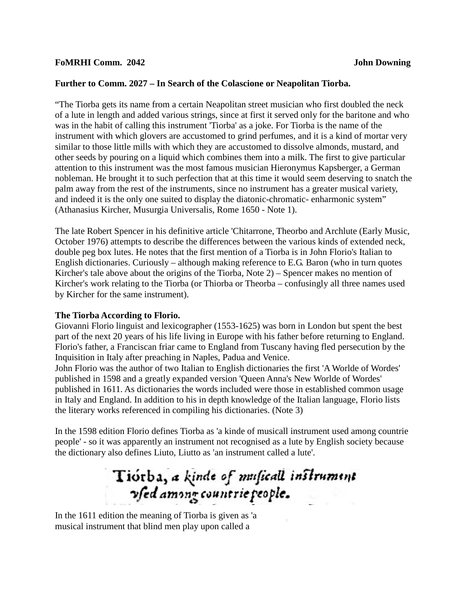### **Further to Comm. 2027 – In Search of the Colascione or Neapolitan Tiorba.**

"The Tiorba gets its name from a certain Neapolitan street musician who first doubled the neck of a lute in length and added various strings, since at first it served only for the baritone and who was in the habit of calling this instrument 'Tiorba' as a joke. For Tiorba is the name of the instrument with which glovers are accustomed to grind perfumes, and it is a kind of mortar very similar to those little mills with which they are accustomed to dissolve almonds, mustard, and other seeds by pouring on a liquid which combines them into a milk. The first to give particular attention to this instrument was the most famous musician Hieronymus Kapsberger, a German nobleman. He brought it to such perfection that at this time it would seem deserving to snatch the palm away from the rest of the instruments, since no instrument has a greater musical variety, and indeed it is the only one suited to display the diatonic-chromatic- enharmonic system" (Athanasius Kircher, Musurgia Universalis, Rome 1650 - Note 1).

The late Robert Spencer in his definitive article 'Chitarrone, Theorbo and Archlute (Early Music, October 1976) attempts to describe the differences between the various kinds of extended neck, double peg box lutes. He notes that the first mention of a Tiorba is in John Florio's Italian to English dictionaries. Curiously – although making reference to E.G. Baron (who in turn quotes Kircher's tale above about the origins of the Tiorba, Note 2) – Spencer makes no mention of Kircher's work relating to the Tiorba (or Thiorba or Theorba – confusingly all three names used by Kircher for the same instrument).

### **The Tiorba According to Florio.**

Giovanni Florio linguist and lexicographer (1553-1625) was born in London but spent the best part of the next 20 years of his life living in Europe with his father before returning to England. Florio's father, a Franciscan friar came to England from Tuscany having fled persecution by the Inquisition in Italy after preaching in Naples, Padua and Venice.

John Florio was the author of two Italian to English dictionaries the first 'A Worlde of Wordes' published in 1598 and a greatly expanded version 'Queen Anna's New Worlde of Wordes' published in 1611. As dictionaries the words included were those in established common usage in Italy and England. In addition to his in depth knowledge of the Italian language, Florio lists the literary works referenced in compiling his dictionaries. (Note 3)

In the 1598 edition Florio defines Tiorba as 'a kinde of musicall instrument used among countrie people' - so it was apparently an instrument not recognised as a lute by English society because the dictionary also defines Liuto, Liutto as 'an instrument called a lute'.

# Tiorba, a kinde of muficall instrument vsed among countrie people.

In the 1611 edition the meaning of Tiorba is given as 'a musical instrument that blind men play upon called a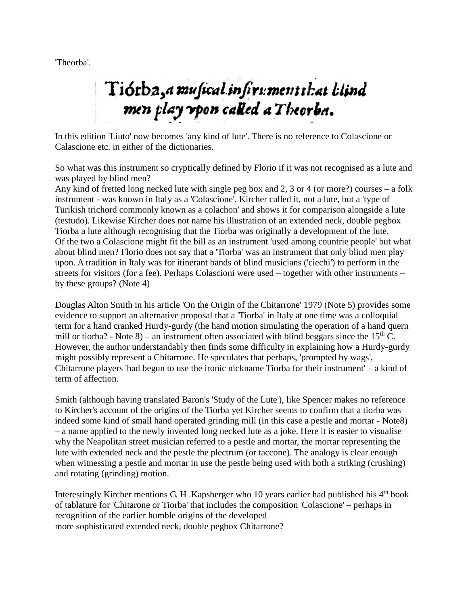'Theorba'.

# Tiotba, a musical infirmment that hlind men play vpon called a Theorba.

In this edition 'Liuto' now becomes 'any kind of lute'. There is no reference to Colascione or Calascione etc. in either of the dictionaries.

So what was this instrument so cryptically defined by Florio if it was not recognised as a lute and was played by blind men?

Any kind of fretted long necked lute with single peg box and 2, 3 or 4 (or more?) courses – a folk instrument - was known in Italy as a 'Colascione'. Kircher called it, not a lute, but a 'type of Turikish trichord commonly known as a colachon' and shows it for comparison alongside a lute (testudo). Likewise Kircher does not name his illustration of an extended neck, double pegbox Tiorba a lute although recognising that the Tiorba was originally a development of the lute. Of the two a Colascione might fit the bill as an instrument 'used among countrie people' but what about blind men? Florio does not say that a 'Tiorba' was an instrument that only blind men play upon. A tradition in Italy was for itinerant bands of blind musicians ('ciechi') to perform in the streets for visitors (for a fee). Perhaps Colascioni were used – together with other instruments – by these groups? (Note 4)

Douglas Alton Smith in his article 'On the Origin of the Chitarrone' 1979 (Note 5) provides some evidence to support an alternative proposal that a 'Tiorba' in Italy at one time was a colloquial term for a hand cranked Hurdy-gurdy (the hand motion simulating the operation of a hand quern mill or tiorba? - Note 8) – an instrument often associated with blind beggars since the  $15<sup>th</sup>$  C. However, the author understandably then finds some difficulty in explaining how a Hurdy-gurdy might possibly represent a Chitarrone. He speculates that perhaps, 'prompted by wags', Chitarrone players 'had begun to use the ironic nickname Tiorba for their instrument' – a kind of term of affection.

Smith (although having translated Baron's 'Study of the Lute'), like Spencer makes no reference to Kircher's account of the origins of the Tiorba yet Kircher seems to confirm that a tiorba was indeed some kind of small hand operated grinding mill (in this case a pestle and mortar - Note8) – a name applied to the newly invented long necked lute as a joke. Here it is easier to visualise why the Neapolitan street musician referred to a pestle and mortar, the mortar representing the lute with extended neck and the pestle the plectrum (or taccone). The analogy is clear enough when witnessing a pestle and mortar in use the pestle being used with both a striking (crushing) and rotating (grinding) motion.

Interestingly Kircher mentions G. H. Kapsberger who 10 years earlier had published his  $4<sup>th</sup>$  book of tablature for 'Chitarone or Tiorba' that includes the composition 'Colascione' – perhaps in recognition of the earlier humble origins of the developed more sophisticated extended neck, double pegbox Chitarrone?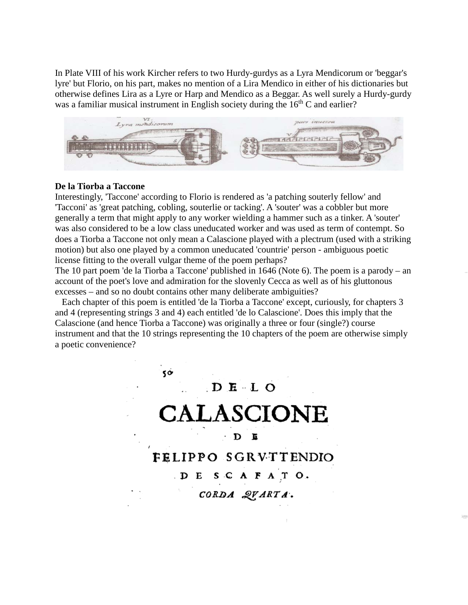In Plate VIII of his work Kircher refers to two Hurdy-gurdys as a Lyra Mendicorum or 'beggar's lyre' but Florio, on his part, makes no mention of a Lira Mendico in either of his dictionaries but otherwise defines Lira as a Lyre or Harp and Mendico as a Beggar. As well surely a Hurdy-gurdy was a familiar musical instrument in English society during the  $16<sup>th</sup>$ C and earlier?



#### **De la Tiorba a Taccone**

Interestingly, 'Taccone' according to Florio is rendered as 'a patching souterly fellow' and 'Tacconi' as 'great patching, cobling, souterlie or tacking'. A 'souter' was a cobbler but more generally a term that might apply to any worker wielding a hammer such as a tinker. A 'souter' was also considered to be a low class uneducated worker and was used as term of contempt. So does a Tiorba a Taccone not only mean a Calascione played with a plectrum (used with a striking motion) but also one played by a common uneducated 'countrie' person - ambiguous poetic license fitting to the overall vulgar theme of the poem perhaps?

The 10 part poem 'de la Tiorba a Taccone' published in 1646 (Note 6). The poem is a parody – an account of the poet's love and admiration for the slovenly Cecca as well as of his gluttonous excesses – and so no doubt contains other many deliberate ambiguities?

 Each chapter of this poem is entitled 'de la Tiorba a Taccone' except, curiously, for chapters 3 and 4 (representing strings 3 and 4) each entitled 'de lo Calascione'. Does this imply that the Calascione (and hence Tiorba a Taccone) was originally a three or four (single?) course instrument and that the 10 strings representing the 10 chapters of the poem are otherwise simply a poetic convenience?

> 50  $D$  **E**  $\cdot$  **L**  $O$ CALASCIONE  $\mathbf D$ E FELIPPO SGRVTTENDIO DESCAFATO. CORDA QVARTA.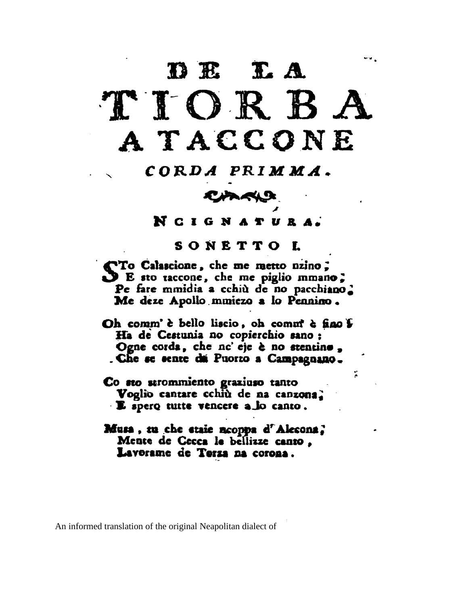# DE LA TIORBA A TACCONE

# CORDA PRIMMA.

## CARKS

NCIGNATURA.

## SONETTO L

STo Calascione, che me metto nzino;<br>SE sto taccone, che me piglio mmano; Pe fare mmidia a cchiù de no pacchiano. Me deze Apollo mmiezo a lo Pennino.

Oh comm' è bello liscio, oh comm' è fino  $\mathfrak F$ Ha de Cestunia no copierchio sano: Ogne corda, che nc'eje è no stentino, Che se sente da Puorto a Campagnano.

÷.

- Co sto strommiento graziuso tanto Voglio cantare cchiù de na canzona. · E spero tutte vencere a lo canto.
- Musa, tu che staie ncoppa d'Alecona? Mente de Cecca le bellizze canto, Lavorame de Terza na corona.

An informed translation of the original Neapolitan dialect of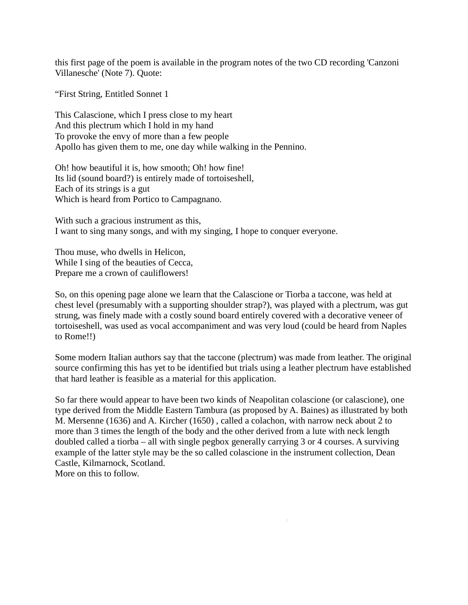this first page of the poem is available in the program notes of the two CD recording 'Canzoni Villanesche' (Note 7). Quote:

"First String, Entitled Sonnet 1

This Calascione, which I press close to my heart And this plectrum which I hold in my hand To provoke the envy of more than a few people Apollo has given them to me, one day while walking in the Pennino.

Oh! how beautiful it is, how smooth; Oh! how fine! Its lid (sound board?) is entirely made of tortoiseshell, Each of its strings is a gut Which is heard from Portico to Campagnano.

With such a gracious instrument as this, I want to sing many songs, and with my singing, I hope to conquer everyone.

Thou muse, who dwells in Helicon, While I sing of the beauties of Cecca, Prepare me a crown of cauliflowers!

So, on this opening page alone we learn that the Calascione or Tiorba a taccone, was held at chest level (presumably with a supporting shoulder strap?), was played with a plectrum, was gut strung, was finely made with a costly sound board entirely covered with a decorative veneer of tortoiseshell, was used as vocal accompaniment and was very loud (could be heard from Naples to Rome!!)

Some modern Italian authors say that the taccone (plectrum) was made from leather. The original source confirming this has yet to be identified but trials using a leather plectrum have established that hard leather is feasible as a material for this application.

So far there would appear to have been two kinds of Neapolitan colascione (or calascione), one type derived from the Middle Eastern Tambura (as proposed by A. Baines) as illustrated by both M. Mersenne (1636) and A. Kircher (1650) , called a colachon, with narrow neck about 2 to more than 3 times the length of the body and the other derived from a lute with neck length doubled called a tiorba – all with single pegbox generally carrying 3 or 4 courses. A surviving example of the latter style may be the so called colascione in the instrument collection, Dean Castle, Kilmarnock, Scotland. More on this to follow.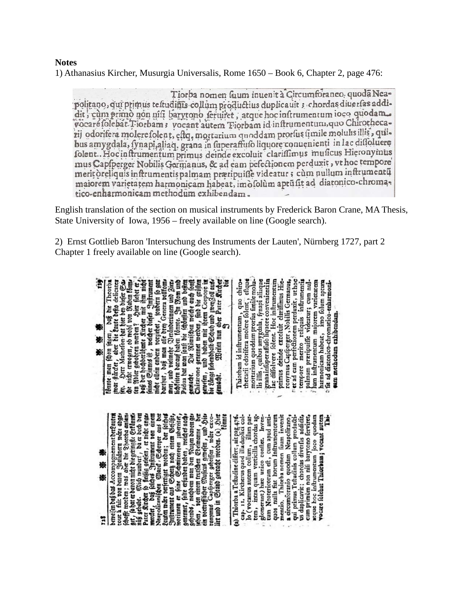### **Notes** 1) Athanasius Kircher, Musurgia Universalis, Rome 1650 – Book 6, Chapter 2, page 476:

Tiorba nomen fuum inuenità Circumforaneo quoda Neapolitano, qui primus testudinis collum productius duplicauit ; chordas diuerfas addidit, cùm primò non nifi barytono feruiret, atque hoc infrumentum ioco quodam. vocare folebat Tiorbam; vocant autem Tiorbam id inftrumentum, quo Chirothecarij odorifera molere folent, estq, mortarium quoddam prorfus fimile molulis illis, quibus amygdala, fynapi, aliaq, grana in superaffufo liquore conuenienti in lac difloluere folent. Hoc inftrumentum primus deinde excoluir clariffimus muficus Hieronymus mus Capfperger Nobilis Germanus, & ad eam pefectionem perduxit, vt hoc tempore meritòreliquis inftrumentis palmam praripuiffe videatur ; cùm nullum inftrumentu maiorem varietatem harmonicam habeat, imòsolùm aptusit ad diatonico-chromatico-enharmonicam methodum exhibendam.

English translation of the section on musical instruments by Frederick Baron Crane, MA Thesis, State University of Iowa, 1956 – freely available on line (Google search).

2) Ernst Gottlieb Baron 'Intersuchung des Instruments der Lauten', Nürnberg 1727, part 2 Chapter 1 freely available on line (Google search).

| T <sub>2</sub> g | 影戀<br>.<br>Réfe                                                                                                                                                                                                                                                                                                                                                                                                                                                                                                                                                                                                                                                                                                                                                                                                             | ł,<br>※<br>美家                                                                                                                                                                                                                                                                                                                                                                                                                                                                                                                                                                                                  |
|------------------|-----------------------------------------------------------------------------------------------------------------------------------------------------------------------------------------------------------------------------------------------------------------------------------------------------------------------------------------------------------------------------------------------------------------------------------------------------------------------------------------------------------------------------------------------------------------------------------------------------------------------------------------------------------------------------------------------------------------------------------------------------------------------------------------------------------------------------|----------------------------------------------------------------------------------------------------------------------------------------------------------------------------------------------------------------------------------------------------------------------------------------------------------------------------------------------------------------------------------------------------------------------------------------------------------------------------------------------------------------------------------------------------------------------------------------------------------------|
|                  | beweisen daß das Accompagnement der gauten<br>tout a fait von denen Jrahanern ware abges<br>fchafft worden; was aber die Sheuba anläns<br>8et, fe hat erdavon nicht bie getinglie Erfannes<br>nuß gehabt. Mich wundert, da er doch den<br>Pacer Kircher fo fielsig gelefen, er nicht anges<br>merctet, daß folches Infirument von eine<br>Lauten ware berfertiger worden; der folches<br>Suffrument aus Scherts nach einem Gefäße,<br>worimmen er feine Schmirerepen zubereitet,<br>gehennet, folte erfunden haben, welches nach.<br>gehende, nachdem man den Yugen davon ges<br>jehen , ' von einem teutichen Goeimanne , der ein voertefflicher Muficus gewefen , und Hier<br>tommuns Capfierger geheiffen , war exco-tommus Capfierger geheiffen , ware exco-<br>tiet und in Stand gebracht worden. (2) , Hier<br>tönnte | Weilen nun aber Pater Rircher<br>bie Långe ftebendhalb Schuh und groenZoll aus.<br>ă<br>mot allein andern vorziehet, sondern fo gart den einen alle der Genera politomen men , und vielmehr Oreicherungen und Zierze lichteten der auf haben fonnte. In Rom und praise durch allein in Deferment and der Rom und prais<br>Chicarone genennet werden, find die größen<br>gewelen, und haben mit ihrem Corpore in<br>tomme man fchon fagen, oan on 1 neonrom<br>gemacht.                                                                                                                                         |
|                  | (a) Thiorba a Teftudine differt, ait pag 476.<br>cap. 11. Kircherus quod illa duplici col-<br>lo (vocamus autem collum, illam par-<br>tem, intra quam verticilla chordas ag-<br>glomerant) hae unico conflet. Inven-<br>tum Neotericorum eft, cum apud anti-<br>mentio. Thiorba nomen fuum invenit<br>Ė<br>a circumforanio quodam Neapolitano,<br>qui primus Teftudinis collum producti-<br>cum primum non nifi barytono ferviret,<br>us duplicavit; chordas diverfas addidit,<br>quos nulla fiat horum Inftrumentorum<br>atque hoc inftrumentum joco quodam<br>vocare folebat Thiorbam; vocant autem                                                                                                                                                                                                                       | thezarii odorifera molere foleir; eftque<br>The internation quoddam prortus fimile molu-<br>Is illis, quibus amygdala, fynapi aliaque<br>"granainfuper affuo liquore convenienti in".<br>"Lee diffolvere folent. Hoc inflrumentum<br>primus deinde excoluit clariffimus Hie-<br>Thiorbam id inftrumentum, quo chiro-<br>ronymus Capfperger, Nobilis Germanus,<br>tempore merito reliquis inflrumentis<br>palmam præripuiffe videatur; cum nul-<br>lum initrumentum majorem varietatem<br>harmonicam habeat, imo folum aptum<br><sup>5</sup> fit ad diatonico-chromatico-enharmoni-<br>sam methodum exhibendam. |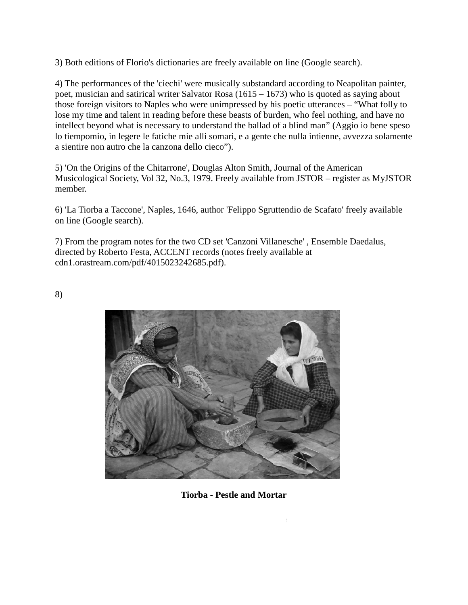3) Both editions of Florio's dictionaries are freely available on line (Google search).

4) The performances of the 'ciechi' were musically substandard according to Neapolitan painter, poet, musician and satirical writer Salvator Rosa (1615 – 1673) who is quoted as saying about those foreign visitors to Naples who were unimpressed by his poetic utterances – "What folly to lose my time and talent in reading before these beasts of burden, who feel nothing, and have no intellect beyond what is necessary to understand the ballad of a blind man" (Aggio io bene speso lo tiempomio, in legere le fatiche mie alli somari, e a gente che nulla intienne, avvezza solamente a sientire non autro che la canzona dello cieco").

5) 'On the Origins of the Chitarrone', Douglas Alton Smith, Journal of the American Musicological Society, Vol 32, No.3, 1979. Freely available from JSTOR – register as MyJSTOR member.

6) 'La Tiorba a Taccone', Naples, 1646, author 'Felippo Sgruttendio de Scafato' freely available on line (Google search).

7) From the program notes for the two CD set 'Canzoni Villanesche' , Ensemble Daedalus, directed by Roberto Festa, ACCENT records (notes freely available at cdn1.orastream.com/pdf/4015023242685.pdf).

8)



**Tiorba - Pestle and Mortar**